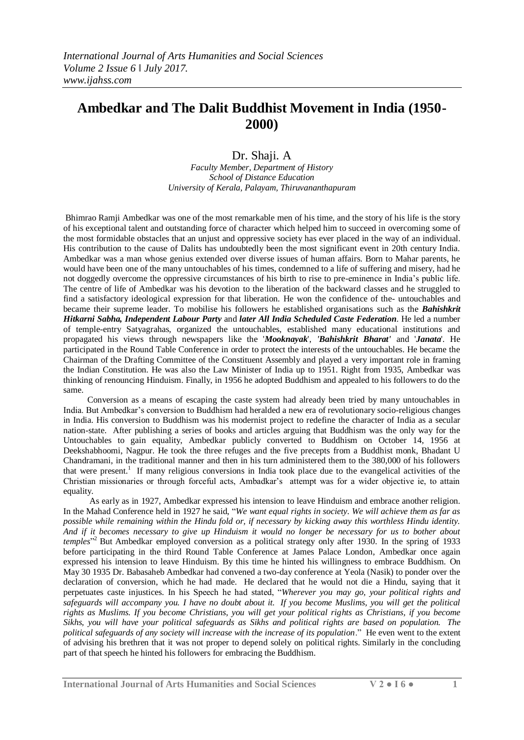## **Ambedkar and The Dalit Buddhist Movement in India (1950- 2000)**

## Dr. Shaji. A

*Faculty Member, Department of History School of Distance Education University of Kerala, Palayam, Thiruvananthapuram*

Bhimrao Ramji Ambedkar was one of the most remarkable men of his time, and the story of his life is the story of his exceptional talent and outstanding force of character which helped him to succeed in overcoming some of the most formidable obstacles that an unjust and oppressive society has ever placed in the way of an individual. His contribution to the cause of Dalits has undoubtedly been the most significant event in 20th century India. Ambedkar was a man whose genius extended over diverse issues of human affairs. Born to Mahar parents, he would have been one of the many untouchables of his times, condemned to a life of suffering and misery, had he not doggedly overcome the oppressive circumstances of his birth to rise to pre-eminence in India's public life. The centre of life of Ambedkar was his devotion to the liberation of the backward classes and he struggled to find a satisfactory ideological expression for that liberation. He won the confidence of the- untouchables and became their supreme leader. To mobilise his followers he established organisations such as the *Bahishkrit Hitkarni Sabha, Independent Labour Party* and *later All India Scheduled Caste Federation*. He led a number of temple-entry Satyagrahas, organized the untouchables, established many educational institutions and propagated his views through newspapers like the '*Mooknayak*', *'Bahishkrit Bharat'* and '*Janata*'. He participated in the Round Table Conference in order to protect the interests of the untouchables. He became the Chairman of the Drafting Committee of the Constituent Assembly and played a very important role in framing the Indian Constitution. He was also the Law Minister of India up to 1951. Right from 1935, Ambedkar was thinking of renouncing Hinduism. Finally, in 1956 he adopted Buddhism and appealed to his followers to do the same.

 Conversion as a means of escaping the caste system had already been tried by many untouchables in India. But Ambedkar's conversion to Buddhism had heralded a new era of revolutionary socio-religious changes in India. His conversion to Buddhism was his modernist project to redefine the character of India as a secular nation-state. After publishing a series of books and articles arguing that Buddhism was the only way for the Untouchables to gain equality, Ambedkar publicly converted to Buddhism on October 14, 1956 at [Deekshabhoomi,](http://en.wikipedia.org/wiki/Deekshabhoomi) [Nagpur.](http://en.wikipedia.org/wiki/Nagpur) He took the [three refuges](http://en.wikipedia.org/wiki/Three_Jewels) and [the five precepts](http://en.wikipedia.org/wiki/The_Five_Precepts) from a Buddhist monk, Bhadant U Chandramani, in the traditional manner and then in his turn administered them to the 380,000 of his followers that were present.<sup>1</sup> If many religious conversions in India took place due to the evangelical activities of the Christian missionaries or through forceful acts, Ambadkar's attempt was for a wider objective ie, to attain equality.

 As early as in 1927, Ambedkar expressed his intension to leave Hinduism and embrace another religion. In the Mahad Conference held in 1927 he said, "We want equal rights in society. We will achieve them as far as *possible while remaining within the Hindu fold or, if necessary by kicking away this worthless Hindu identity. And if it becomes necessary to give up Hinduism it would no longer be necessary for us to bother about*  temples<sup>"2</sup> But Ambedkar employed conversion as a political strategy only after 1930. In the spring of 1933 before participating in the third Round Table Conference at James Palace London, Ambedkar once again expressed his intension to leave Hinduism. By this time he hinted his willingness to embrace Buddhism. On May 30 1935 Dr. Babasaheb Ambedkar had convened a two-day conference at Yeola (Nasik) to ponder over the declaration of conversion, which he had made. He declared that he would not die a Hindu, saying that it perpetuates [caste](http://en.wikipedia.org/wiki/Caste) injustices. In his Speech he had stated, "Wherever you may go, your political rights and *safeguards will accompany you. I have no doubt about it. If you become Muslims, you will get the political rights as Muslims. If you become Christians, you will get your political rights as Christians, if you become Sikhs, you will have your political safeguards as Sikhs and political rights are based on population. The political safeguards of any society will increase with the increase of its population*.‖ He even went to the extent of advising his brethren that it was not proper to depend solely on political rights. Similarly in the concluding part of that speech he hinted his followers for embracing the Buddhism.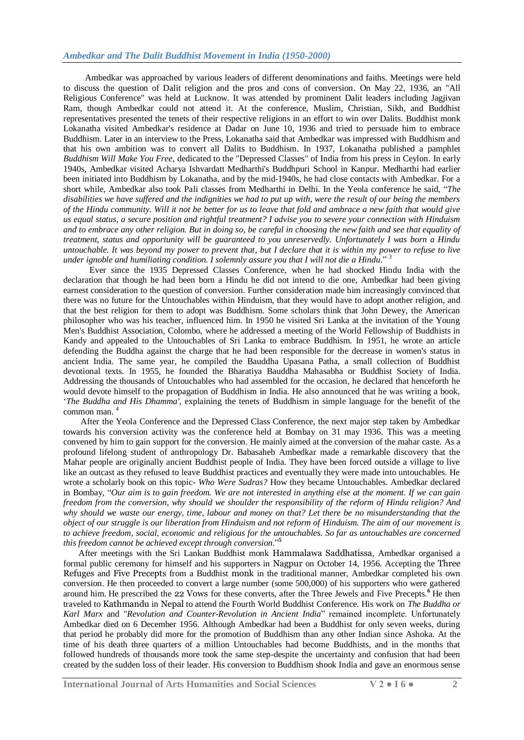Ambedkar was approached by various leaders of different denominations and faiths. Meetings were held to discuss the question of Dalit religion and the pros and cons of conversion. On May 22, 1936, an "All Religious Conference" was held at [Lucknow.](http://en.wikipedia.org/wiki/Lucknow) It was attended by prominent Dalit leaders including [Jagjivan](http://en.wikipedia.org/wiki/Jagjivan_Ram)  [Ram,](http://en.wikipedia.org/wiki/Jagjivan_Ram) though Ambedkar could not attend it. At the conference, Muslim, Christian, Sikh, and Buddhist representatives presented the tenets of their respective religions in an effort to win over Dalits. Buddhist monk [Lokanatha](http://en.wikipedia.org/wiki/Lokanatha_%28Italian_Buddhist_Monk%29) visited Ambedkar's residence at [Dadar](http://en.wikipedia.org/wiki/Dadar) on June 10, 1936 and tried to persuade him to embrace Buddhism. Later in an interview to the Press, Lokanatha said that Ambedkar was impressed with Buddhism and that his own ambition was to convert all Dalits to Buddhism. In 1937, Lokanatha published a pamphlet *Buddhism Will Make You Free*, dedicated to the "Depressed Classes" of India from his press in Ceylon. In early 1940s, Ambedkar visited Acharya Ishvardatt Medharthi's Buddhpuri School in Kanpur. Medharthi had earlier been initiated into Buddhism by [Lokanatha,](http://en.wikipedia.org/wiki/Lokanatha_%28Italian_Buddhist_Monk%29) and by the mid-1940s, he had close contacts with Ambedkar. For a short while, Ambedkar also took Pali classes from Medharthi in [Delhi.](http://en.wikipedia.org/wiki/Delhi) In the Yeola conference he said, *"The disabilities we have suffered and the indignities we had to put up with, were the result of our being the members of the Hindu community. Will it not be better for us to leave that fold and ambrace a new faith that would give us equal status, a secure position and rightful treatment? I advise you to severe your connection with Hinduism and to embrace any other religion. But in doing so, be careful in choosing the new faith and see that equality of treatment, status and opportunity will be guaranteed to you unreservedly. Unfortunately I was born a Hindu untouchable. It was beyond my power to prevent that, but I declare that it is within my power to refuse to live under ignoble and humiliating condition. I solemnly assure you that I will not die a Hindu*."<sup>3</sup>

 Ever since the 1935 Depressed Classes Conference, when he had shocked Hindu India with the declaration that though he had been born a Hindu he did not intend to die one, Ambedkar had been giving earnest consideration to the question of conversion. Further consideration made him increasingly convinced that there was no future for the Untouchables within Hinduism, that they would have to adopt another religion, and that the best religion for them to adopt was Buddhism. Some scholars think that John Dewey, the American philosopher who was his teacher, influenced him. In 1950 he visited Sri Lanka at the invitation of the Young Men's Buddhist Association, Colombo, where he addressed a meeting of the World Fellowship of Buddhists in Kandy and appealed to the Untouchables of Sri Lanka to embrace Buddhism. In 1951, he wrote an article defending the Buddha against the charge that he had been responsible for the decrease in women's status in ancient India. The same year, he compiled the Bauddha Upasana Patha, a small collection of Buddhist devotional texts. In 1955, he founded the Bharatiya Bauddha Mahasabha or Buddhist Society of India. Addressing the thousands of Untouchables who had assembled for the occasion, he declared that henceforth he would devote himself to the propagation of Buddhism in India. He also announced that he was writing a book, ‗*The Buddha and His Dhamma'*, explaining the tenets of Buddhism in simple language for the benefit of the common man.<sup>4</sup>

 After the Yeola Conference and the Depressed Class Conference, the next major step taken by Ambedkar towards his conversion activity was the conference held at Bombay on 31 may 1936. This was a meeting convened by him to gain support for the conversion. He mainly aimed at the conversion of the mahar caste. As a profound lifelong student of anthropology Dr. Babasaheb Ambedkar made a remarkable discovery that the Mahar people are originally ancient Buddhist people of India. They have been forced outside a village to live like an outcast as they refused to leave Buddhist practices and eventually they were made into untouchables. He wrote a scholarly book on this topic- *Who Were Sudras?* How they became Untouchables. Ambedkar declared in Bombay, "Our aim is to gain freedom. We are not interested in anything else at the moment. If we can gain *freedom from the conversion, why should we shoulder the responsibility of the reform of Hindu religion? And why should we waste our energy, time, labour and money on that? Let there be no misunderstanding that the object of our struggle is our liberation from Hinduism and not reform of Hinduism. The aim of our movement is to achieve freedom, social, economic and religious for the untouchables. So far as untouchables are concerned*  this freedom cannot be achieved except through conversion."<sup>5</sup>

After meetings with the Sri Lankan Buddhist monk [Hammalawa Saddhatissa](../../../../Desktop/Documents/Important%20documents/medwiki/Hammalawa_Saddhatissa), Ambedkar organised a formal public ceremony for himself and his supporters in [Nagpur](../../../../Desktop/Documents/Important%20documents/medwiki/Nagpur) on October 14, 1956. Accepting the [Three](../../../../Desktop/Documents/Important%20documents/medwiki/Three_Jewels)  [Refuges](../../../../Desktop/Documents/Important%20documents/medwiki/Three_Jewels) and [Five Precepts](../../../../Desktop/Documents/Important%20documents/medwiki/The_Five_Precepts) from a Buddhist [monk](../../../../Desktop/Documents/Important%20documents/medwiki/Bhikkhu) in the traditional manner, Ambedkar completed his own conversion. He then proceeded to convert a large number (some 500,000) of his supporters who were gathered around him. He prescribed the [22 Vows](../../../../Desktop/Documents/Important%20documents/medwiki/22_Vows) for these converts, after the Three Jewels and Five Precepts.<sup>6</sup> He then traveled to [Kathmandu](../../../../Desktop/Documents/Important%20documents/medwiki/Kathmandu) in [Nepal](../../../../Desktop/Documents/Important%20documents/medwiki/Nepal) to attend the Fourth World Buddhist Conference. His work on *The Buddha or*  Karl Marx and "*Revolution and Counter-Revolution in Ancient India*" remained incomplete. Unfortunately Ambedkar died on 6 December 1956. Although Ambedkar had been a Buddhist for only seven weeks, during that period he probably did more for the promotion of Buddhism than any other Indian since Ashoka. At the time of his death three quarters of a million Untouchables had become Buddhists, and in the months that followed hundreds of thousands more took the same step-despite the uncertainty and confusion that had been created by the sudden loss of their leader. His conversion to Buddhism shook India and gave an enormous sense

**International Journal of Arts Humanities and Social Sciences V 2 ● I 6 ● 2**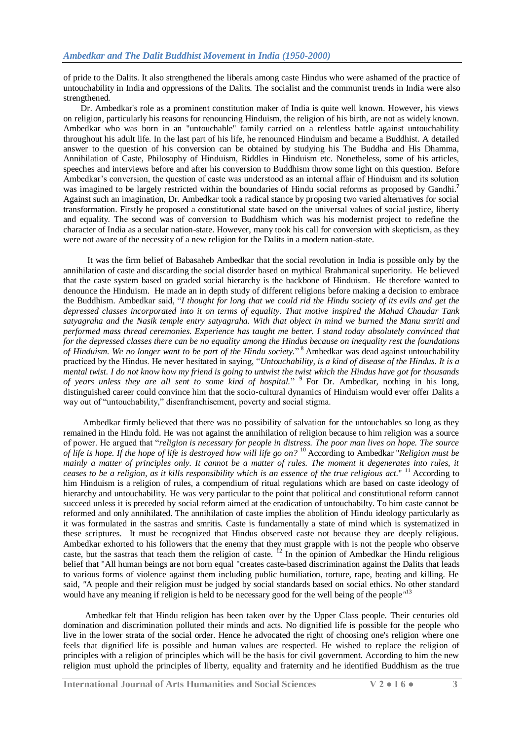of pride to the Dalits. It also strengthened the liberals among caste Hindus who were ashamed of the practice of untouchability in India and oppressions of the Dalits. The socialist and the communist trends in India were also strengthened.

 Dr. Ambedkar's role as a prominent constitution maker of India is quite well known. However, his views on religion, particularly his reasons for renouncing Hinduism, the religion of his birth, are not as widely known. Ambedkar who was born in an "untouchable" family carried on a relentless battle against untouchability throughout his adult life. In the last part of his life, he renounced Hinduism and became a Buddhist. A detailed answer to the question of his conversion can be obtained by studying his The Buddha and His Dhamma, Annihilation of Caste, Philosophy of Hinduism, Riddles in Hinduism etc. Nonetheless, some of his articles, speeches and interviews before and after his conversion to Buddhism throw some light on this question. Before Ambedkar's conversion, the question of caste was understood as an internal affair of Hinduism and its solution was imagined to be largely restricted within the boundaries of Hindu social reforms as proposed by Gandhi.**<sup>7</sup>** Against such an imagination, Dr. Ambedkar took a radical stance by proposing two varied alternatives for social transformation. Firstly he proposed a constitutional state based on the universal values of social justice, liberty and equality. The second was of conversion to Buddhism which was his modernist project to redefine the character of India as a secular nation-state. However, many took his call for conversion with skepticism, as they were not aware of the necessity of a new religion for the Dalits in a modern nation-state.

 It was the firm belief of Babasaheb Ambedkar that the social revolution in India is possible only by the annihilation of caste and discarding the social disorder based on mythical Brahmanical superiority. He believed that the caste system based on graded social hierarchy is the backbone of Hinduism. He therefore wanted to denounce the Hinduism. He made an in depth study of different religions before making a decision to embrace the Buddhism. Ambedkar said, "I thought for long that we could rid the Hindu society of its evils and get the *depressed classes incorporated into it on terms of equality. That motive inspired the Mahad Chaudar Tank satyagraha and the Nasik temple entry satyagraha. With that object in mind we burned the Manu smriti and performed mass thread ceremonies. Experience has taught me better. I stand today absolutely convinced that for the depressed classes there can be no equality among the Hindus because on inequality rest the foundations*  of Hinduism. We no longer want to be part of the Hindu society."<sup>8</sup> Ambedkar was dead against untouchability practiced by the Hindus. He never hesitated in saying, "*Untouchability, is a kind of disease of the Hindus. It is a mental twist. I do not know how my friend is going to untwist the twist which the Hindus have got for thousands*  of years unless they are all sent to some kind of hospital." <sup>9</sup> For Dr. Ambedkar, nothing in his long, distinguished career could convince him that the socio-cultural dynamics of Hinduism would ever offer Dalits a way out of "untouchability," disenfranchisement, poverty and social stigma.

 Ambedkar firmly believed that there was no possibility of salvation for the untouchables so long as they remained in the Hindu fold. He was not against the annihilation of religion because to him religion was a source of power. He argued that "*religion is necessary for people in distress. The poor man lives on hope. The source of life is hope. If the hope of life is destroyed how will life go on?* <sup>10</sup> According to Ambedkar "*Religion must be mainly a matter of principles only. It cannot be a matter of rules. The moment it degenerates into rules, it ceases to be a religion, as it kills responsibility which is an essence of the true religious act*." <sup>11</sup> According to him Hinduism is a religion of rules, a compendium of ritual regulations which are based on caste ideology of hierarchy and untouchability. He was very particular to the point that political and constitutional reform cannot succeed unless it is preceded by social reform aimed at the eradication of untouchabilty. To him caste cannot be reformed and only annihilated. The annihilation of caste implies the abolition of Hindu ideology particularly as it was formulated in the sastras and smritis. Caste is fundamentally a state of mind which is systematized in these scriptures. It must be recognized that Hindus observed caste not because they are deeply religious. Ambedkar exhorted to his followers that the enemy that they must grapple with is not the people who observe caste, but the sastras that teach them the religion of caste.  $^{12}$  In the opinion of Ambedkar the Hindu religious belief that "All human beings are not born equal "creates caste-based discrimination against the Dalits that leads to various forms of violence against them including public humiliation, torture, rape, beating and killing. He said, *"*A people and their religion must be judged by social standards based on social ethics. No other standard would have any meaning if religion is held to be necessary good for the well being of the people*"* 13

 Ambedkar felt that Hindu religion has been taken over by the Upper Class people. Their centuries old domination and discrimination polluted their minds and acts. No dignified life is possible for the people who live in the lower strata of the social order. Hence he advocated the right of choosing one's religion where one feels that dignified life is possible and human values are respected. He wished to replace the religion of principles with a religion of principles which will be the basis for civil government. According to him the new religion must uphold the principles of liberty, equality and fraternity and he identified Buddhism as the true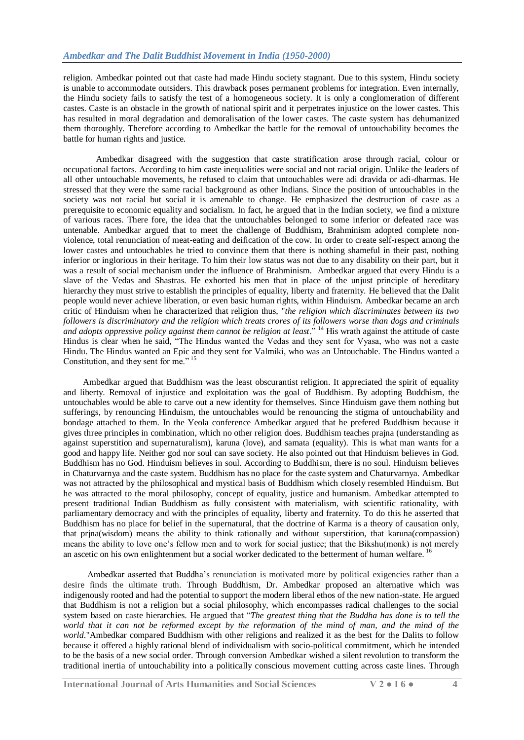religion. Ambedkar pointed out that caste had made Hindu society stagnant. Due to this system, Hindu society is unable to accommodate outsiders. This drawback poses permanent problems for integration. Even internally, the Hindu society fails to satisfy the test of a homogeneous society. It is only a conglomeration of different castes. Caste is an obstacle in the growth of national spirit and it perpetrates injustice on the lower castes. This has resulted in moral degradation and demoralisation of the lower castes. The caste system has dehumanized them thoroughly. Therefore according to Ambedkar the battle for the removal of untouchability becomes the battle for human rights and justice.

 Ambedkar disagreed with the suggestion that caste stratification arose through racial, colour or occupational factors. According to him caste inequalities were social and not racial origin. Unlike the leaders of all other untouchable movements, he refused to claim that untouchables were adi dravida or adi-dharmas. He stressed that they were the same racial background as other Indians. Since the position of untouchables in the society was not racial but social it is amenable to change. He emphasized the destruction of caste as a prerequisite to economic equality and socialism. In fact, he argued that in the Indian society, we find a mixture of various races. There fore, the idea that the untouchables belonged to some inferior or defeated race was untenable. Ambedkar argued that to meet the challenge of Buddhism, Brahminism adopted complete nonviolence, total renunciation of meat-eating and deification of the cow. In order to create self-respect among the lower castes and untouchables he tried to convince them that there is nothing shameful in their past, nothing inferior or inglorious in their heritage. To him their low status was not due to any disability on their part, but it was a result of social mechanism under the influence of Brahminism. Ambedkar argued that every Hindu is a slave of the Vedas and Shastras. He exhorted his men that in place of the unjust principle of hereditary hierarchy they must strive to establish the principles of equality, liberty and fraternity. He believed that the Dalit people would never achieve liberation, or even basic human rights, within Hinduism. Ambedkar became an arch critic of Hinduism when he characterized that religion thus, "*the religion which discriminates between its two followers is discriminatory and the religion which treats crores of its followers worse than dogs and criminals*  and adopts oppressive policy against them cannot be religion at least." <sup>14</sup> His wrath against the attitude of caste Hindus is clear when he said, "The Hindus wanted the Vedas and they sent for Vyasa, who was not a caste Hindu. The Hindus wanted an Epic and they sent for Valmiki, who was an Untouchable. The Hindus wanted a Constitution, and they sent for me."  $15$ 

 Ambedkar argued that Buddhism was the least obscurantist religion. It appreciated the spirit of equality and liberty. Removal of injustice and exploitation was the goal of Buddhism. By adopting Buddhism, the untouchables would be able to carve out a new identity for themselves. Since Hinduism gave them nothing but sufferings, by renouncing Hinduism, the untouchables would be renouncing the stigma of untouchability and bondage attached to them. In the Yeola conference Ambedkar argued that he prefered Buddhism because it gives three principles in combination, which no other religion does. Buddhism teaches prajna (understanding as against superstition and supernaturalism), karuna (love), and samata (equality). This is what man wants for a good and happy life. Neither god nor soul can save society. He also pointed out that Hinduism believes in God. Buddhism has no God. Hinduism believes in soul. According to Buddhism, there is no soul. Hinduism believes in Chaturvarnya and the caste system. Buddhism has no place for the caste system and Chaturvarnya. Ambedkar was not attracted by the philosophical and mystical basis of Buddhism which closely resembled Hinduism. But he was attracted to the moral philosophy, concept of equality, justice and humanism. Ambedkar attempted to present traditional Indian Buddhism as fully consistent with materialism, with scientific rationality, with parliamentary democracy and with the principles of equality, liberty and fraternity. To do this he asserted that Buddhism has no place for belief in the supernatural, that the doctrine of Karma is a theory of causation only, that prjna(wisdom) means the ability to think rationally and without superstition, that karuna(compassion) means the ability to love one's fellow men and to work for social justice; that the Bikshu(monk) is not merely an ascetic on his own enlightenment but a social worker dedicated to the betterment of human welfare. <sup>16</sup>

 Ambedkar asserted that Buddha's renunciation is motivated more by political exigencies rather than a desire finds the ultimate truth. Through Buddhism, Dr. Ambedkar proposed an alternative which was indigenously rooted and had the potential to support the modern liberal ethos of the new nation-state. He argued that Buddhism is not a religion but a social philosophy, which encompasses radical challenges to the social system based on caste hierarchies. He argued that "*The greatest thing that the Buddha has done is to tell the world that it can not be reformed except by the reformation of the mind of man, and the mind of the world*."Ambedkar compared Buddhism with other religions and realized it as the best for the Dalits to follow because it offered a highly rational blend of individualism with socio-political commitment, which he intended to be the basis of a new social order. Through conversion Ambedkar wished a silent revolution to transform the traditional inertia of untouchability into a politically conscious movement cutting across caste lines. Through

**International Journal of Arts Humanities and Social Sciences V 2 ● I 6 ● 4**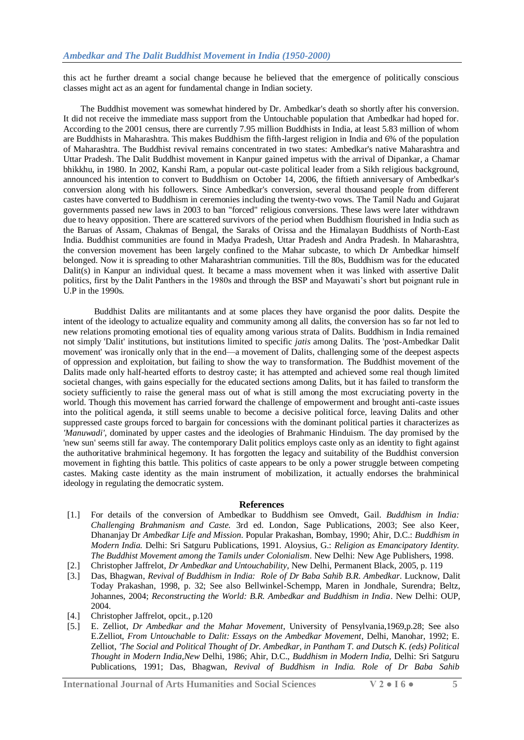this act he further dreamt a social change because he believed that the emergence of politically conscious classes might act as an agent for fundamental change in Indian society.

 The Buddhist movement was somewhat hindered by Dr. Ambedkar's death so shortly after his conversion. It did not receive the immediate mass support from the Untouchable population that Ambedkar had hoped for. According to the 2001 census, there are currently 7.95 million Buddhists in India, at least 5.83 million of whom are Buddhists in Maharashtra. This makes Buddhism the fifth-largest [religion in India](http://en.wikipedia.org/wiki/Religion_in_India) and 6% of the population of [Maharashtra.](http://en.wikipedia.org/wiki/Maharashtra) The Buddhist revival remains concentrated in two [states:](http://en.wikipedia.org/wiki/States_and_territories_of_India) Ambedkar's native [Maharashtra](http://en.wikipedia.org/wiki/Maharashtra) and [Uttar Pradesh.](http://en.wikipedia.org/wiki/Uttar_Pradesh) The Dalit Buddhist movement in Kanpur gained impetus with the arrival of Dipankar, a [Chamar](http://en.wikipedia.org/wiki/Chamar) bhikkhu, in 1980. In 2002, [Kanshi Ram,](http://en.wikipedia.org/wiki/Kanshi_Ram) a popular out-caste political leader from a [Sikh](http://en.wikipedia.org/wiki/Sikh) religious background, announced his intention to convert to Buddhism on October 14, 2006, the fiftieth anniversary of Ambedkar's conversion along with his followers. Since Ambedkar's conversion, several thousand people from different castes have converted to Buddhism in ceremonies including the twenty-two vows. The [Tamil Nadu](http://en.wikipedia.org/wiki/Tamil_Nadu) and [Gujarat](http://en.wikipedia.org/wiki/Gujarat) governments passed new laws in 2003 to ban "forced" religious conversions. These laws were later withdrawn due to heavy opposition. There are scattered survivors of the period when Buddhism flourished in India such as the Baruas of Assam, Chakmas of Bengal, the Saraks of Orissa and the Himalayan Buddhists of North-East India. Buddhist communities are found in Madya Pradesh, Uttar Pradesh and Andra Pradesh. In Maharashtra, the conversion movement has been largely confined to the Mahar subcaste, to which Dr Ambedkar himself belonged. Now it is spreading to other Maharashtrian communities. Till the 80s, Buddhism was for the educated Dalit(s) in Kanpur an individual quest. It became a mass movement when it was linked with assertive Dalit politics, first by the Dalit Panthers in the 1980s and through the BSP and Mayawati's short but poignant rule in U.P in the 1990s.

 Buddhist Dalits are militantants and at some places they have organisd the poor dalits. Despite the intent of the ideology to actualize equality and community among all dalits, the conversion has so far not led to new relations promoting emotional ties of equality among various strata of Dalits. Buddhism in India remained not simply 'Dalit' institutions, but institutions limited to specific *jatis* among Dalits. The 'post-Ambedkar Dalit movement' was ironically only that in the end—a movement of Dalits, challenging some of the deepest aspects of oppression and exploitation, but failing to show the way to transformation. The Buddhist movement of the Dalits made only half-hearted efforts to destroy caste; it has attempted and achieved some real though limited societal changes, with gains especially for the educated sections among Dalits, but it has failed to transform the society sufficiently to raise the general mass out of what is still among the most excruciating poverty in the world. Though this movement has carried forward the challenge of empowerment and brought anti-caste issues into the political agenda, it still seems unable to become a decisive political force, leaving Dalits and other suppressed caste groups forced to bargain for concessions with the dominant political parties it characterizes as *'Manuwadi',* dominated by upper castes and the ideologies of Brahmanic Hinduism. The day promised by the 'new sun' seems still far away. The contemporary Dalit politics employs caste only as an identity to fight against the authoritative brahminical hegemony. It has forgotten the legacy and suitability of the Buddhist conversion movement in fighting this battle. This politics of caste appears to be only a power struggle between competing castes. Making caste identity as the main instrument of mobilization, it actually endorses the brahminical ideology in regulating the democratic system.

## **References**

- [1.] For details of the conversion of Ambedkar to Buddhism see Omvedt, Gail. *Buddhism in India: Challenging Brahmanism and Caste.* 3rd ed. London, Sage Publications, 2003; See also Keer, Dhananjay Dr *Ambedkar Life and Mission*. Popular Prakashan, Bombay, 1990; Ahir, D.C.: *Buddhism in Modern India.* Delhi: Sri Satguru Publications, 1991. Aloysius, G.: *Religion as Emancipatory Identity. The Buddhist Movement among the Tamils under Colonialism*. New Delhi: New Age Publishers, 1998.
- [2.] Christopher Jaffrelot, *Dr Ambedkar and Untouchability*, New Delhi, Permanent Black, 2005, p. 119
- [3.] Das, Bhagwan, *Revival of Buddhism in India: Role of Dr Baba Sahib B.R. Ambedkar*. Lucknow, Dalit Today Prakashan, 1998, p. 32; See also Bellwinkel-Schempp, Maren in Jondhale, Surendra; Beltz, Johannes, 2004; *Reconstructing the World: B.R. Ambedkar and Buddhism in India*. New Delhi: OUP, 2004.
- [4.] Christopher Jaffrelot, opcit., p.120
- [5.] E. Zelliot, *Dr Ambedkar and the Mahar Movement*, University of Pensylvania,1969,p.28; See also E.Zelliot, *From Untouchable to Dalit: Essays on the Ambedkar Movement*, Delhi, Manohar, 1992; E. Zelliot, *'The Social and Political Thought of Dr. Ambedkar, in Pantham T. and Dutsch K. (eds) Political Thought in Modern India,New* Delhi, 1986; Ahir, D.C., *Buddhism in Modern India,* Delhi: Sri Satguru Publications, 1991; Das, Bhagwan, *Revival of Buddhism in India. Role of Dr Baba Sahib*

**International Journal of Arts Humanities and Social Sciences V 2 ● I 6 ● 5**